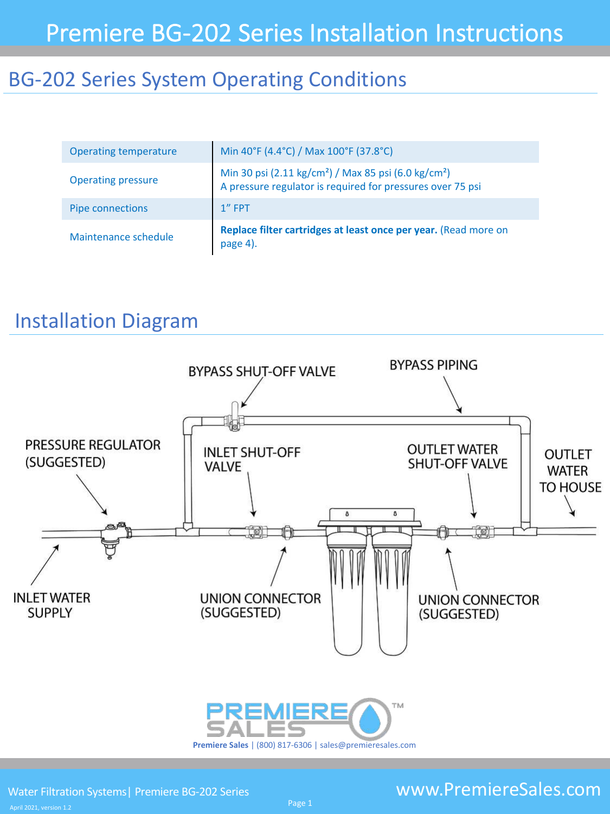## BG-202 Series System Operating Conditions

| <b>Operating temperature</b> | Min 40°F (4.4°C) / Max 100°F (37.8°C)                                                                                                      |
|------------------------------|--------------------------------------------------------------------------------------------------------------------------------------------|
| <b>Operating pressure</b>    | Min 30 psi (2.11 kg/cm <sup>2</sup> ) / Max 85 psi (6.0 kg/cm <sup>2</sup> )<br>A pressure regulator is required for pressures over 75 psi |
| <b>Pipe connections</b>      | $1''$ FPT                                                                                                                                  |
| Maintenance schedule         | Replace filter cartridges at least once per year. (Read more on<br>page 4).                                                                |

## Installation Diagram

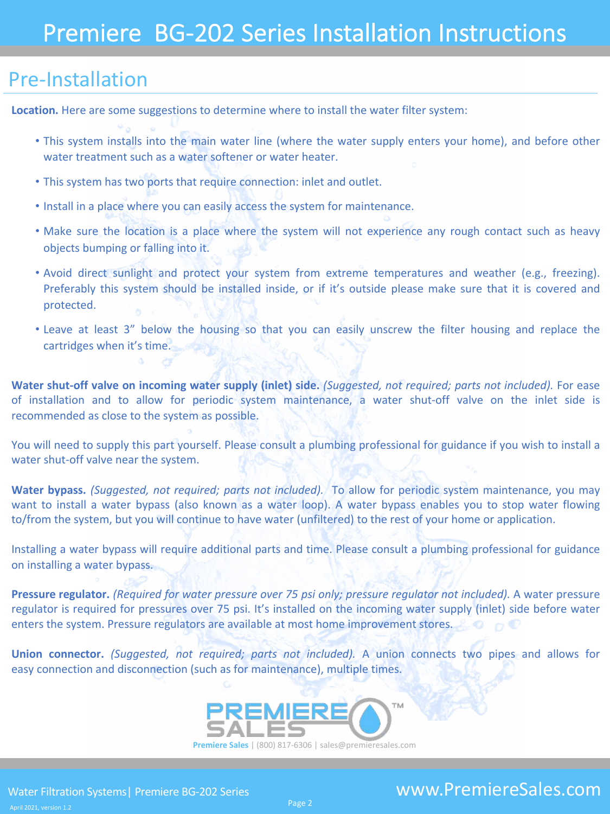### Pre-Installation

**Location.** Here are some suggestions to determine where to install the water filter system:

- This system installs into the main water line (where the water supply enters your home), and before other water treatment such as a water softener or water heater.
- This system has two ports that require connection: inlet and outlet.
- Install in a place where you can easily access the system for maintenance.
- Make sure the location is a place where the system will not experience any rough contact such as heavy objects bumping or falling into it.
- Avoid direct sunlight and protect your system from extreme temperatures and weather (e.g., freezing). Preferably this system should be installed inside, or if it's outside please make sure that it is covered and protected.
- Leave at least 3" below the housing so that you can easily unscrew the filter housing and replace the cartridges when it's time.

**Water shut-off valve on incoming water supply (inlet) side.** *(Suggested, not required; parts not included).* For ease of installation and to allow for periodic system maintenance, a water shut-off valve on the inlet side is recommended as close to the system as possible.

You will need to supply this part yourself. Please consult a plumbing professional for guidance if you wish to install a water shut-off valve near the system.

**Water bypass.** *(Suggested, not required; parts not included).* To allow for periodic system maintenance, you may want to install a water bypass (also known as a water loop). A water bypass enables you to stop water flowing to/from the system, but you will continue to have water (unfiltered) to the rest of your home or application.

Installing a water bypass will require additional parts and time. Please consult a plumbing professional for guidance on installing a water bypass.

**Pressure regulator.** *(Required for water pressure over 75 psi only; pressure regulator not included).* A water pressure regulator is required for pressures over 75 psi. It's installed on the incoming water supply (inlet) side before water enters the system. Pressure regulators are available at most home improvement stores.

**Union connector.** *(Suggested, not required; parts not included).* A union connects two pipes and allows for easy connection and disconnection (such as for maintenance), multiple times.

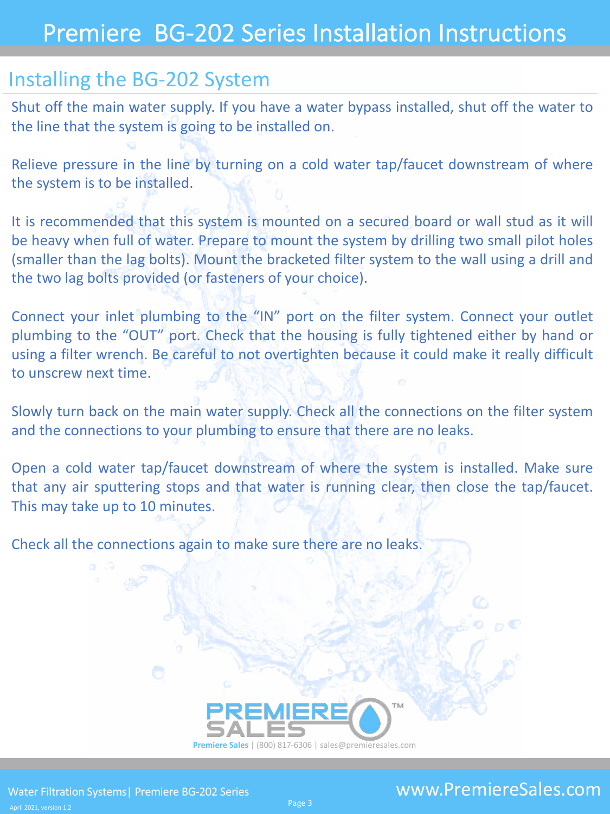# Premiere BG-202 Series Installation Instructions

### Installing the BG-202 System

Shut off the main water supply. If you have a water bypass installed, shut off the water to the line that the system is going to be installed on.

Relieve pressure in the line by turning on a cold water tap/faucet downstream of where the system is to be installed.

It is recommended that this system is mounted on a secured board or wall stud as it will be heavy when full of water. Prepare to mount the system by drilling two small pilot holes (smaller than the lag bolts). Mount the bracketed filter system to the wall using a drill and the two lag bolts provided (or fasteners of your choice).

Connect your inlet plumbing to the "IN" port on the filter system. Connect your outlet plumbing to the "OUT" port. Check that the housing is fully tightened either by hand or using a filter wrench. Be careful to not overtighten because it could make it really difficult to unscrew next time.

Slowly turn back on the main water supply. Check all the connections on the filter system and the connections to your plumbing to ensure that there are no leaks.

Open a cold water tap/faucet downstream of where the system is installed. Make sure that any air sputtering stops and that water is running clear, then close the tap/faucet. This may take up to 10 minutes.

Check all the connections again to make sure there are no leaks.